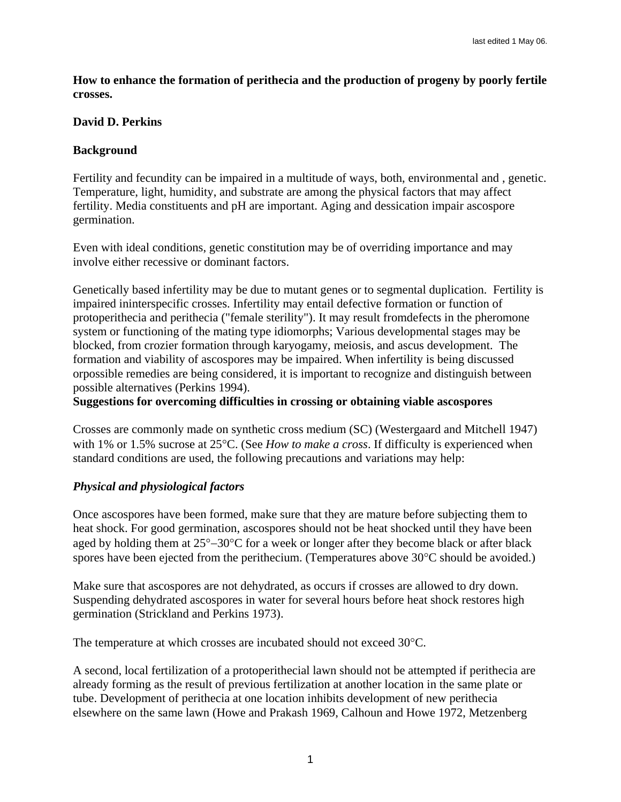**How to enhance the formation of perithecia and the production of progeny by poorly fertile crosses.** 

## **David D. Perkins**

## **Background**

Fertility and fecundity can be impaired in a multitude of ways, both, environmental and , genetic. Temperature, light, humidity, and substrate are among the physical factors that may affect fertility. Media constituents and pH are important. Aging and dessication impair ascospore germination.

Even with ideal conditions, genetic constitution may be of overriding importance and may involve either recessive or dominant factors.

Genetically based infertility may be due to mutant genes or to segmental duplication. Fertility is impaired ininterspecific crosses. Infertility may entail defective formation or function of protoperithecia and perithecia ("female sterility"). It may result fromdefects in the pheromone system or functioning of the mating type idiomorphs; Various developmental stages may be blocked, from crozier formation through karyogamy, meiosis, and ascus development. The formation and viability of ascospores may be impaired. When infertility is being discussed orpossible remedies are being considered, it is important to recognize and distinguish between possible alternatives (Perkins 1994).

**Suggestions for overcoming difficulties in crossing or obtaining viable ascospores** 

Crosses are commonly made on synthetic cross medium (SC) (Westergaard and Mitchell 1947) with 1% or 1.5% sucrose at 25°C. (See *How to make a cross*. If difficulty is experienced when standard conditions are used, the following precautions and variations may help:

# *Physical and physiological factors*

Once ascospores have been formed, make sure that they are mature before subjecting them to heat shock. For good germination, ascospores should not be heat shocked until they have been aged by holding them at 25°−30°C for a week or longer after they become black or after black spores have been ejected from the perithecium. (Temperatures above 30°C should be avoided.)

Make sure that ascospores are not dehydrated, as occurs if crosses are allowed to dry down. Suspending dehydrated ascospores in water for several hours before heat shock restores high germination (Strickland and Perkins 1973).

The temperature at which crosses are incubated should not exceed 30°C.

A second, local fertilization of a protoperithecial lawn should not be attempted if perithecia are already forming as the result of previous fertilization at another location in the same plate or tube. Development of perithecia at one location inhibits development of new perithecia elsewhere on the same lawn (Howe and Prakash 1969, Calhoun and Howe 1972, Metzenberg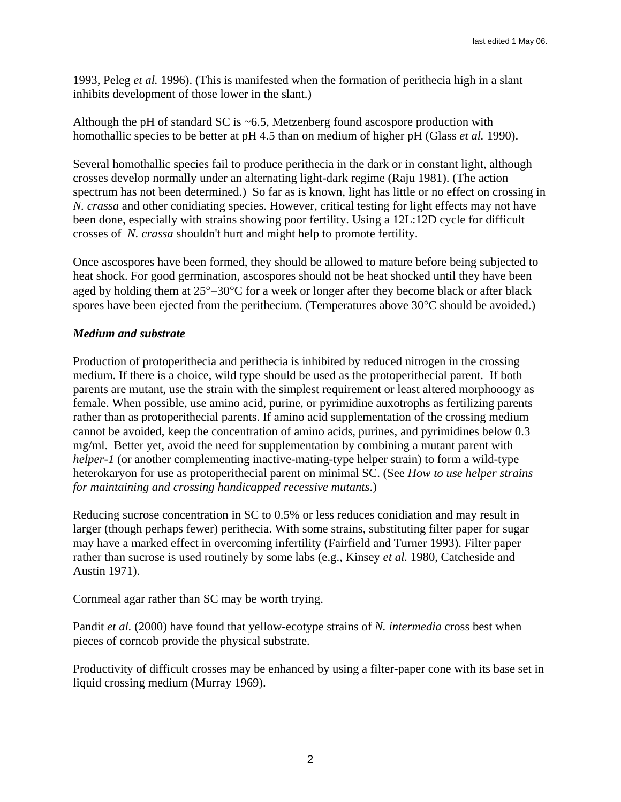1993, Peleg *et al.* 1996). (This is manifested when the formation of perithecia high in a slant inhibits development of those lower in the slant.)

Although the pH of standard SC is  $\sim$  6.5, Metzenberg found ascospore production with homothallic species to be better at pH 4.5 than on medium of higher pH (Glass *et al.* 1990).

Several homothallic species fail to produce perithecia in the dark or in constant light, although crosses develop normally under an alternating light-dark regime (Raju 1981). (The action spectrum has not been determined.) So far as is known, light has little or no effect on crossing in *N. crassa* and other conidiating species. However, critical testing for light effects may not have been done, especially with strains showing poor fertility. Using a 12L:12D cycle for difficult crosses of *N. crassa* shouldn't hurt and might help to promote fertility.

Once ascospores have been formed, they should be allowed to mature before being subjected to heat shock. For good germination, ascospores should not be heat shocked until they have been aged by holding them at 25°−30°C for a week or longer after they become black or after black spores have been ejected from the perithecium. (Temperatures above 30°C should be avoided.)

## *Medium and substrate*

Production of protoperithecia and perithecia is inhibited by reduced nitrogen in the crossing medium. If there is a choice, wild type should be used as the protoperithecial parent. If both parents are mutant, use the strain with the simplest requirement or least altered morphooogy as female. When possible, use amino acid, purine, or pyrimidine auxotrophs as fertilizing parents rather than as protoperithecial parents. If amino acid supplementation of the crossing medium cannot be avoided, keep the concentration of amino acids, purines, and pyrimidines below 0.3 mg/ml. Better yet, avoid the need for supplementation by combining a mutant parent with *helper-1* (or another complementing inactive-mating-type helper strain) to form a wild-type heterokaryon for use as protoperithecial parent on minimal SC. (See *How to use helper strains for maintaining and crossing handicapped recessive mutants*.)

Reducing sucrose concentration in SC to 0.5% or less reduces conidiation and may result in larger (though perhaps fewer) perithecia. With some strains, substituting filter paper for sugar may have a marked effect in overcoming infertility (Fairfield and Turner 1993). Filter paper rather than sucrose is used routinely by some labs (e.g., Kinsey *et al.* 1980, Catcheside and Austin 1971).

Cornmeal agar rather than SC may be worth trying.

Pandit *et al.* (2000) have found that yellow-ecotype strains of *N. intermedia* cross best when pieces of corncob provide the physical substrate.

Productivity of difficult crosses may be enhanced by using a filter-paper cone with its base set in liquid crossing medium (Murray 1969).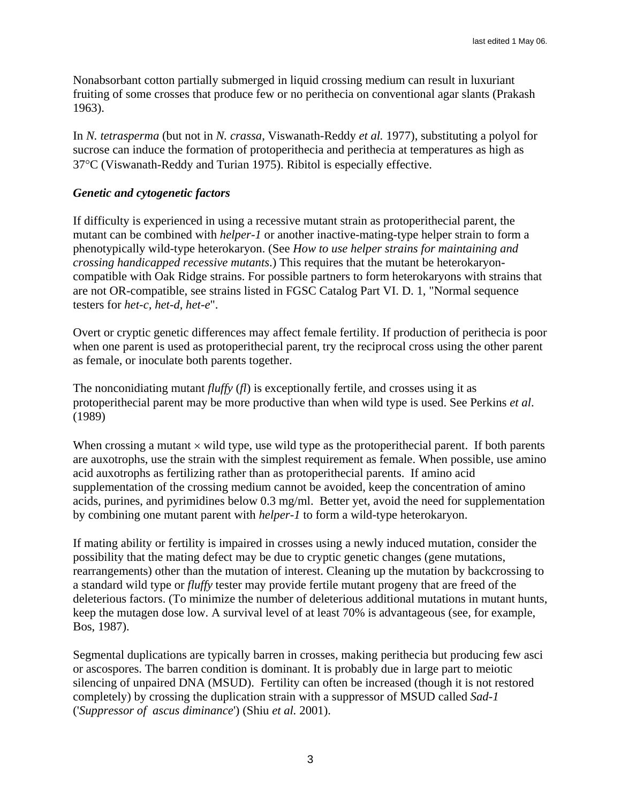Nonabsorbant cotton partially submerged in liquid crossing medium can result in luxuriant fruiting of some crosses that produce few or no perithecia on conventional agar slants (Prakash 1963).

In *N. tetrasperma* (but not in *N. crassa*, Viswanath-Reddy *et al.* 1977), substituting a polyol for sucrose can induce the formation of protoperithecia and perithecia at temperatures as high as 37°C (Viswanath-Reddy and Turian 1975). Ribitol is especially effective.

## *Genetic and cytogenetic factors*

If difficulty is experienced in using a recessive mutant strain as protoperithecial parent, the mutant can be combined with *helper-1* or another inactive-mating-type helper strain to form a phenotypically wild-type heterokaryon. (See *How to use helper strains for maintaining and crossing handicapped recessive mutants*.) This requires that the mutant be heterokaryoncompatible with Oak Ridge strains. For possible partners to form heterokaryons with strains that are not OR-compatible, see strains listed in FGSC Catalog Part VI. D. 1, "Normal sequence testers for *het-c, het-d, het-e*".

Overt or cryptic genetic differences may affect female fertility. If production of perithecia is poor when one parent is used as protoperithecial parent, try the reciprocal cross using the other parent as female, or inoculate both parents together.

The nonconidiating mutant *fluffy* (*fl*) is exceptionally fertile, and crosses using it as protoperithecial parent may be more productive than when wild type is used. See Perkins *et al*. (1989)

When crossing a mutant  $\times$  wild type, use wild type as the protoperithecial parent. If both parents are auxotrophs, use the strain with the simplest requirement as female. When possible, use amino acid auxotrophs as fertilizing rather than as protoperithecial parents. If amino acid supplementation of the crossing medium cannot be avoided, keep the concentration of amino acids, purines, and pyrimidines below 0.3 mg/ml. Better yet, avoid the need for supplementation by combining one mutant parent with *helper-1* to form a wild-type heterokaryon.

If mating ability or fertility is impaired in crosses using a newly induced mutation, consider the possibility that the mating defect may be due to cryptic genetic changes (gene mutations, rearrangements) other than the mutation of interest. Cleaning up the mutation by backcrossing to a standard wild type or *fluffy* tester may provide fertile mutant progeny that are freed of the deleterious factors. (To minimize the number of deleterious additional mutations in mutant hunts, keep the mutagen dose low. A survival level of at least 70% is advantageous (see, for example, Bos, 1987).

Segmental duplications are typically barren in crosses, making perithecia but producing few asci or ascospores. The barren condition is dominant. It is probably due in large part to meiotic silencing of unpaired DNA (MSUD). Fertility can often be increased (though it is not restored completely) by crossing the duplication strain with a suppressor of MSUD called *Sad-1* ('*Suppressor of ascus diminance*') (Shiu *et al.* 2001).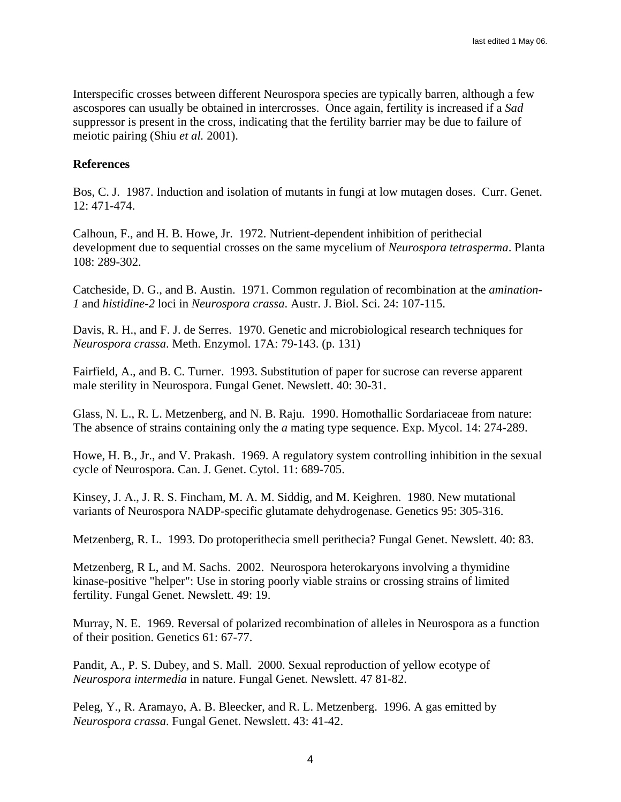Interspecific crosses between different Neurospora species are typically barren, although a few ascospores can usually be obtained in intercrosses. Once again, fertility is increased if a *Sad* suppressor is present in the cross, indicating that the fertility barrier may be due to failure of meiotic pairing (Shiu *et al.* 2001).

### **References**

Bos, C. J. 1987. Induction and isolation of mutants in fungi at low mutagen doses. Curr. Genet. 12: 471-474.

Calhoun, F., and H. B. Howe, Jr. 1972. Nutrient-dependent inhibition of perithecial development due to sequential crosses on the same mycelium of *Neurospora tetrasperma*. Planta 108: 289-302.

Catcheside, D. G., and B. Austin. 1971. Common regulation of recombination at the *amination-1* and *histidine-2* loci in *Neurospora crassa*. Austr. J. Biol. Sci. 24: 107-115.

Davis, R. H., and F. J. de Serres. 1970. Genetic and microbiological research techniques for *Neurospora crassa*. Meth. Enzymol. 17A: 79-143. (p. 131)

Fairfield, A., and B. C. Turner. 1993. Substitution of paper for sucrose can reverse apparent male sterility in Neurospora. Fungal Genet. Newslett. 40: 30-31.

Glass, N. L., R. L. Metzenberg, and N. B. Raju. 1990. Homothallic Sordariaceae from nature: The absence of strains containing only the *a* mating type sequence. Exp. Mycol. 14: 274-289.

Howe, H. B., Jr., and V. Prakash. 1969. A regulatory system controlling inhibition in the sexual cycle of Neurospora. Can. J. Genet. Cytol. 11: 689-705.

Kinsey, J. A., J. R. S. Fincham, M. A. M. Siddig, and M. Keighren. 1980. New mutational variants of Neurospora NADP-specific glutamate dehydrogenase. Genetics 95: 305-316.

Metzenberg, R. L. 1993. Do protoperithecia smell perithecia? Fungal Genet. Newslett. 40: 83.

Metzenberg, R L, and M. Sachs. 2002. Neurospora heterokaryons involving a thymidine kinase-positive "helper": Use in storing poorly viable strains or crossing strains of limited fertility. Fungal Genet. Newslett. 49: 19.

Murray, N. E. 1969. Reversal of polarized recombination of alleles in Neurospora as a function of their position. Genetics 61: 67-77.

Pandit, A., P. S. Dubey, and S. Mall. 2000. Sexual reproduction of yellow ecotype of *Neurospora intermedia* in nature. Fungal Genet. Newslett. 47 81-82.

Peleg, Y., R. Aramayo, A. B. Bleecker, and R. L. Metzenberg. 1996. A gas emitted by *Neurospora crassa*. Fungal Genet. Newslett. 43: 41-42.